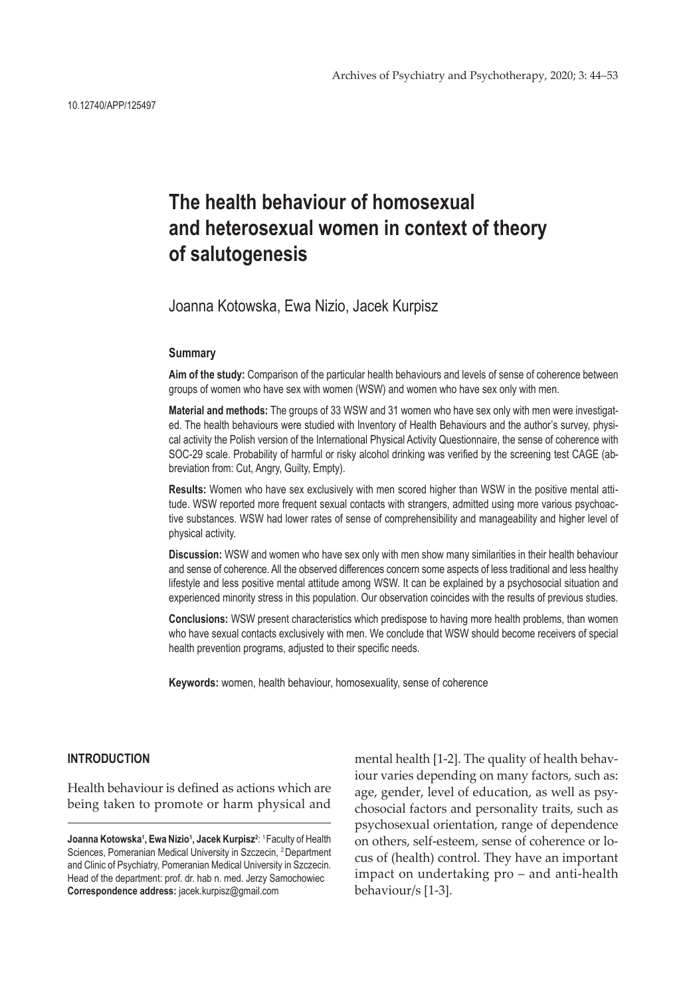# **The health behaviour of homosexual and heterosexual women in context of theory of salutogenesis**

Joanna Kotowska, Ewa Nizio, Jacek Kurpisz

#### **Summary**

**Aim of the study:** Comparison of the particular health behaviours and levels of sense of coherence between groups of women who have sex with women (WSW) and women who have sex only with men.

**Material and methods:** The groups of 33 WSW and 31 women who have sex only with men were investigated. The health behaviours were studied with Inventory of Health Behaviours and the author's survey, physical activity the Polish version of the International Physical Activity Questionnaire, the sense of coherence with SOC-29 scale. Probability of harmful or risky alcohol drinking was verified by the screening test CAGE (abbreviation from: Cut, Angry, Guilty, Empty).

**Results:** Women who have sex exclusively with men scored higher than WSW in the positive mental attitude. WSW reported more frequent sexual contacts with strangers, admitted using more various psychoactive substances. WSW had lower rates of sense of comprehensibility and manageability and higher level of physical activity.

**Discussion:** WSW and women who have sex only with men show many similarities in their health behaviour and sense of coherence. All the observed differences concern some aspects of less traditional and less healthy lifestyle and less positive mental attitude among WSW. It can be explained by a psychosocial situation and experienced minority stress in this population. Our observation coincides with the results of previous studies.

**Conclusions:** WSW present characteristics which predispose to having more health problems, than women who have sexual contacts exclusively with men. We conclude that WSW should become receivers of special health prevention programs, adjusted to their specific needs.

**Keywords:** women, health behaviour, homosexuality, sense of coherence

## **INTRODUCTION**

Health behaviour is defined as actions which are being taken to promote or harm physical and mental health [1-2]. The quality of health behaviour varies depending on many factors, such as: age, gender, level of education, as well as psychosocial factors and personality traits, such as psychosexual orientation, range of dependence on others, self-esteem, sense of coherence or locus of (health) control. They have an important impact on undertaking pro – and anti-health behaviour/s [1-3].

Joanna Kotowska<sup>1</sup>, Ewa Nizio<sup>1</sup>, Jacek Kurpisz<sup>2</sup>: <sup>1</sup> Faculty of Health Sciences, Pomeranian Medical University in Szczecin, 2 Department and Clinic of Psychiatry, Pomeranian Medical University in Szczecin. Head of the department: prof. dr. hab n. med. Jerzy Samochowiec **Correspondence address:** jacek.kurpisz@gmail.com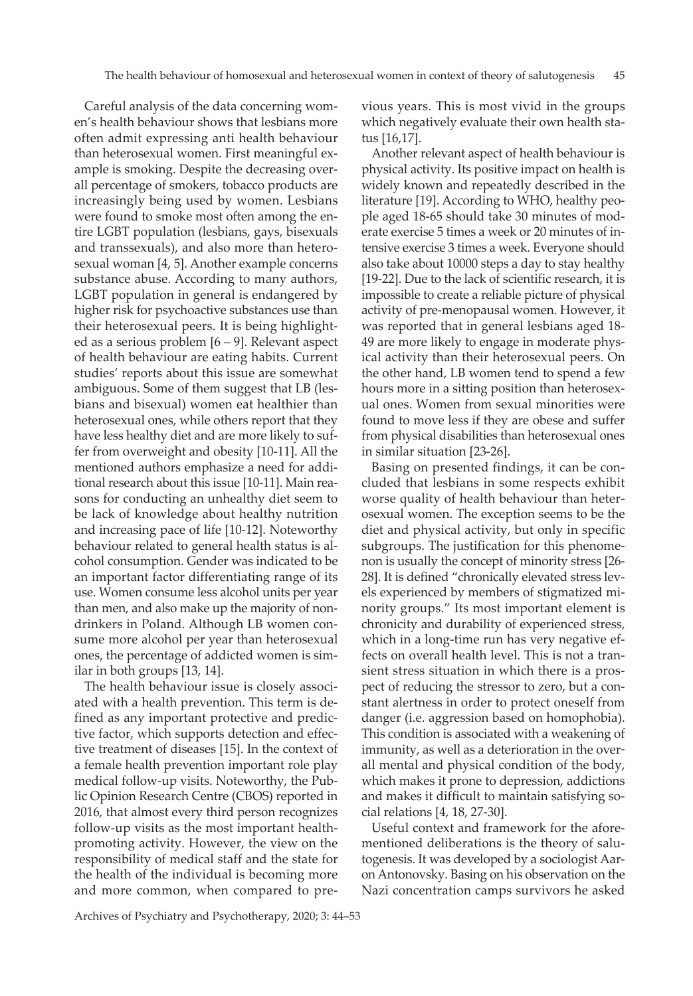Careful analysis of the data concerning women's health behaviour shows that lesbians more often admit expressing anti health behaviour than heterosexual women. First meaningful example is smoking. Despite the decreasing overall percentage of smokers, tobacco products are increasingly being used by women. Lesbians were found to smoke most often among the entire LGBT population (lesbians, gays, bisexuals and transsexuals), and also more than heterosexual woman [4, 5]. Another example concerns substance abuse. According to many authors, LGBT population in general is endangered by higher risk for psychoactive substances use than their heterosexual peers. It is being highlighted as a serious problem [6 – 9]. Relevant aspect of health behaviour are eating habits. Current studies' reports about this issue are somewhat ambiguous. Some of them suggest that LB (lesbians and bisexual) women eat healthier than heterosexual ones, while others report that they have less healthy diet and are more likely to suffer from overweight and obesity [10-11]. All the mentioned authors emphasize a need for additional research about this issue [10-11]. Main reasons for conducting an unhealthy diet seem to be lack of knowledge about healthy nutrition and increasing pace of life [10-12]. Noteworthy behaviour related to general health status is alcohol consumption. Gender was indicated to be an important factor differentiating range of its use. Women consume less alcohol units per year than men, and also make up the majority of nondrinkers in Poland. Although LB women consume more alcohol per year than heterosexual ones, the percentage of addicted women is similar in both groups [13, 14].

The health behaviour issue is closely associated with a health prevention. This term is defined as any important protective and predictive factor, which supports detection and effective treatment of diseases [15]. In the context of a female health prevention important role play medical follow-up visits. Noteworthy, the Public Opinion Research Centre (CBOS) reported in 2016, that almost every third person recognizes follow-up visits as the most important healthpromoting activity. However, the view on the responsibility of medical staff and the state for the health of the individual is becoming more and more common, when compared to previous years. This is most vivid in the groups which negatively evaluate their own health status [16,17].

Another relevant aspect of health behaviour is physical activity. Its positive impact on health is widely known and repeatedly described in the literature [19]. According to WHO, healthy people aged 18-65 should take 30 minutes of moderate exercise 5 times a week or 20 minutes of intensive exercise 3 times a week. Everyone should also take about 10000 steps a day to stay healthy [19-22]. Due to the lack of scientific research, it is impossible to create a reliable picture of physical activity of pre-menopausal women. However, it was reported that in general lesbians aged 18- 49 are more likely to engage in moderate physical activity than their heterosexual peers. On the other hand, LB women tend to spend a few hours more in a sitting position than heterosexual ones. Women from sexual minorities were found to move less if they are obese and suffer from physical disabilities than heterosexual ones in similar situation [23-26].

Basing on presented findings, it can be concluded that lesbians in some respects exhibit worse quality of health behaviour than heterosexual women. The exception seems to be the diet and physical activity, but only in specific subgroups. The justification for this phenomenon is usually the concept of minority stress [26- 28]. It is defined "chronically elevated stress levels experienced by members of stigmatized minority groups." Its most important element is chronicity and durability of experienced stress, which in a long-time run has very negative effects on overall health level. This is not a transient stress situation in which there is a prospect of reducing the stressor to zero, but a constant alertness in order to protect oneself from danger (i.e. aggression based on homophobia). This condition is associated with a weakening of immunity, as well as a deterioration in the overall mental and physical condition of the body, which makes it prone to depression, addictions and makes it difficult to maintain satisfying social relations [4, 18, 27-30].

Useful context and framework for the aforementioned deliberations is the theory of salutogenesis. It was developed by a sociologist Aaron Antonovsky. Basing on his observation on the Nazi concentration camps survivors he asked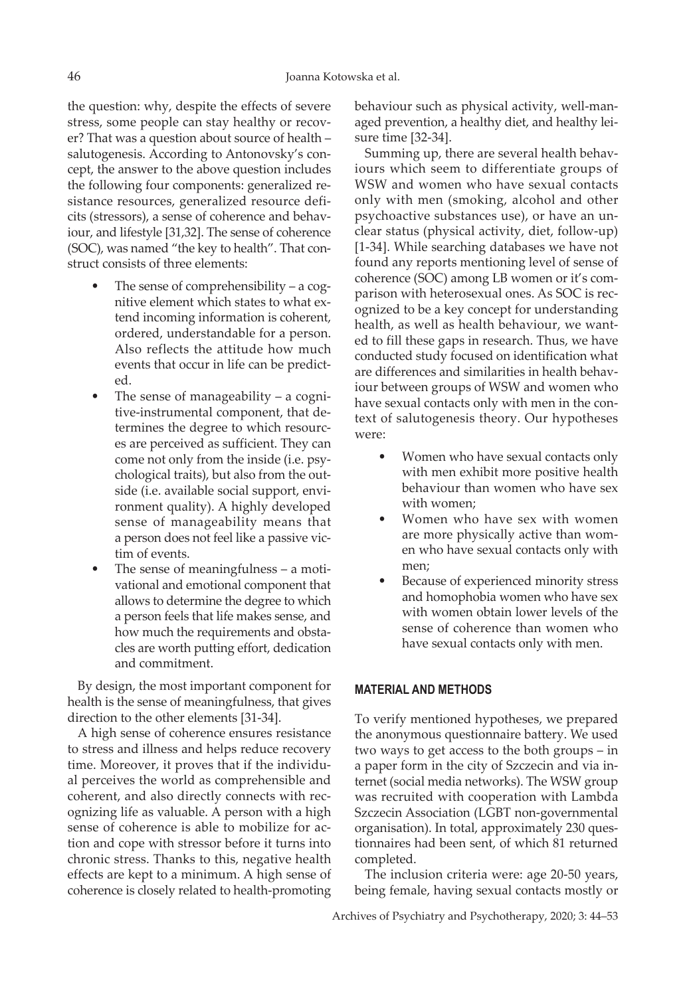the question: why, despite the effects of severe stress, some people can stay healthy or recover? That was a question about source of health – salutogenesis. According to Antonovsky's concept, the answer to the above question includes the following four components: generalized resistance resources, generalized resource deficits (stressors), a sense of coherence and behaviour, and lifestyle [31,32]. The sense of coherence (SOC), was named "the key to health". That construct consists of three elements:

- The sense of comprehensibility a cognitive element which states to what extend incoming information is coherent, ordered, understandable for a person. Also reflects the attitude how much events that occur in life can be predicted.
- The sense of manageability  $-$  a cognitive-instrumental component, that determines the degree to which resources are perceived as sufficient. They can come not only from the inside (i.e. psychological traits), but also from the outside (i.e. available social support, environment quality). A highly developed sense of manageability means that a person does not feel like a passive victim of events.
- The sense of meaningfulness a motivational and emotional component that allows to determine the degree to which a person feels that life makes sense, and how much the requirements and obstacles are worth putting effort, dedication and commitment.

By design, the most important component for health is the sense of meaningfulness, that gives direction to the other elements [31-34].

A high sense of coherence ensures resistance to stress and illness and helps reduce recovery time. Moreover, it proves that if the individual perceives the world as comprehensible and coherent, and also directly connects with recognizing life as valuable. A person with a high sense of coherence is able to mobilize for action and cope with stressor before it turns into chronic stress. Thanks to this, negative health effects are kept to a minimum. A high sense of coherence is closely related to health-promoting

behaviour such as physical activity, well-managed prevention, a healthy diet, and healthy leisure time [32-34].

Summing up, there are several health behaviours which seem to differentiate groups of WSW and women who have sexual contacts only with men (smoking, alcohol and other psychoactive substances use), or have an unclear status (physical activity, diet, follow-up) [1-34]. While searching databases we have not found any reports mentioning level of sense of coherence (SOC) among LB women or it's comparison with heterosexual ones. As SOC is recognized to be a key concept for understanding health, as well as health behaviour, we wanted to fill these gaps in research. Thus, we have conducted study focused on identification what are differences and similarities in health behaviour between groups of WSW and women who have sexual contacts only with men in the context of salutogenesis theory. Our hypotheses were:

- Women who have sexual contacts only with men exhibit more positive health behaviour than women who have sex with women;
- Women who have sex with women are more physically active than women who have sexual contacts only with men;
- Because of experienced minority stress and homophobia women who have sex with women obtain lower levels of the sense of coherence than women who have sexual contacts only with men.

### **MATERIAL AND METHODS**

To verify mentioned hypotheses, we prepared the anonymous questionnaire battery. We used two ways to get access to the both groups – in a paper form in the city of Szczecin and via internet (social media networks). The WSW group was recruited with cooperation with Lambda Szczecin Association (LGBT non-governmental organisation). In total, approximately 230 questionnaires had been sent, of which 81 returned completed.

The inclusion criteria were: age 20-50 years, being female, having sexual contacts mostly or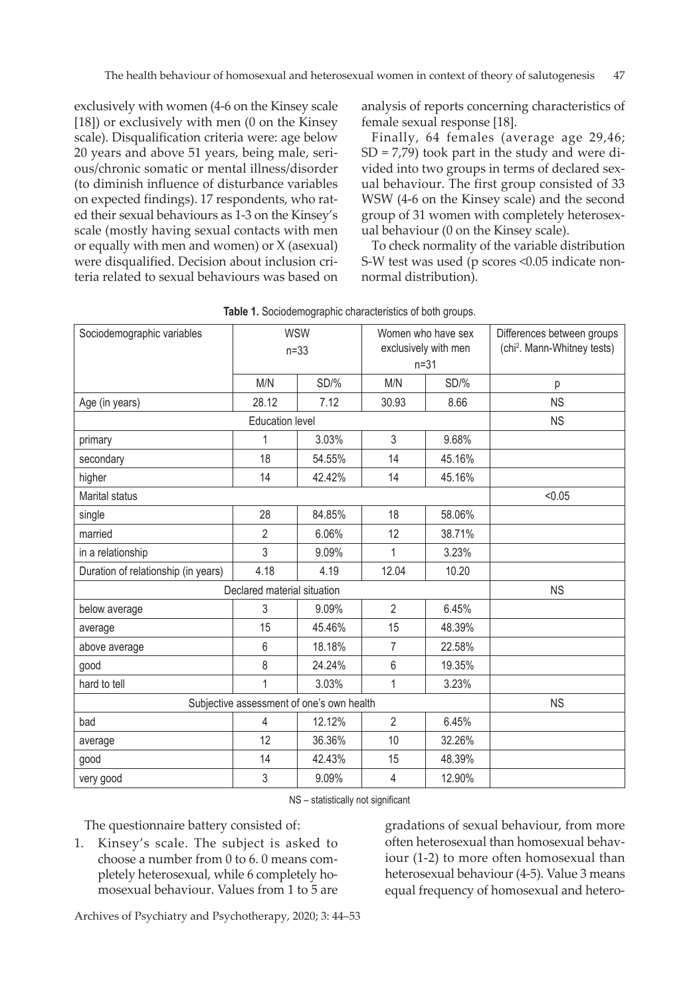exclusively with women (4-6 on the Kinsey scale [18]) or exclusively with men (0 on the Kinsey scale). Disqualification criteria were: age below 20 years and above 51 years, being male, serious/chronic somatic or mental illness/disorder (to diminish influence of disturbance variables on expected findings). 17 respondents, who rated their sexual behaviours as 1-3 on the Kinsey's scale (mostly having sexual contacts with men or equally with men and women) or X (asexual) were disqualified. Decision about inclusion criteria related to sexual behaviours was based on analysis of reports concerning characteristics of female sexual response [18].

Finally, 64 females (average age 29,46;  $SD = 7,79$ ) took part in the study and were divided into two groups in terms of declared sexual behaviour. The first group consisted of 33 WSW (4-6 on the Kinsey scale) and the second group of 31 women with completely heterosexual behaviour (0 on the Kinsey scale).

To check normality of the variable distribution S-W test was used (p scores <0.05 indicate nonnormal distribution).

| Sociodemographic variables                | $n=33$         | <b>WSW</b> | $n = 31$       | Women who have sex<br>exclusively with men | Differences between groups<br>(chi <sup>2</sup> . Mann-Whitney tests) |  |
|-------------------------------------------|----------------|------------|----------------|--------------------------------------------|-----------------------------------------------------------------------|--|
|                                           | M/N            | SD/%       | M/N            | SD/%                                       | р                                                                     |  |
| Age (in years)                            | 28.12          | 7.12       | 30.93          | 8.66                                       | <b>NS</b>                                                             |  |
|                                           | <b>NS</b>      |            |                |                                            |                                                                       |  |
| primary                                   | 1              | 3.03%      | 3              | 9.68%                                      |                                                                       |  |
| secondary                                 | 18             | 54.55%     | 14             | 45.16%                                     |                                                                       |  |
| higher                                    | 14             | 42.42%     | 14             | 45.16%                                     |                                                                       |  |
| <b>Marital status</b>                     | < 0.05         |            |                |                                            |                                                                       |  |
| single                                    | 28             | 84.85%     | 18             | 58.06%                                     |                                                                       |  |
| married                                   | $\overline{2}$ | 6.06%      | 12             | 38.71%                                     |                                                                       |  |
| in a relationship                         | 3              | 9.09%      | 1              | 3.23%                                      |                                                                       |  |
| Duration of relationship (in years)       | 4.18           | 4.19       | 12.04          | 10.20                                      |                                                                       |  |
| Declared material situation               | <b>NS</b>      |            |                |                                            |                                                                       |  |
| below average                             | 3              | 9.09%      | $\overline{2}$ | 6.45%                                      |                                                                       |  |
| average                                   | 15             | 45.46%     | 15             | 48.39%                                     |                                                                       |  |
| above average                             | 6              | 18.18%     | $\overline{7}$ | 22.58%                                     |                                                                       |  |
| good                                      | 8              | 24.24%     | $6\,$          | 19.35%                                     |                                                                       |  |
| hard to tell                              | 1              | 3.03%      | $\mathbf{1}$   | 3.23%                                      |                                                                       |  |
| Subjective assessment of one's own health | <b>NS</b>      |            |                |                                            |                                                                       |  |
| bad                                       | 4              | 12.12%     | $\overline{2}$ | 6.45%                                      |                                                                       |  |
| average                                   | 12             | 36.36%     | 10             | 32.26%                                     |                                                                       |  |
| good                                      | 14             | 42.43%     | 15             | 48.39%                                     |                                                                       |  |
| very good                                 | 3              | 9.09%      | 4              | 12.90%                                     |                                                                       |  |

**Table 1.** Sociodemographic characteristics of both groups.

NS – statistically not significant

The questionnaire battery consisted of:

1. Kinsey's scale. The subject is asked to choose a number from 0 to 6. 0 means completely heterosexual, while 6 completely homosexual behaviour. Values from 1 to 5 are gradations of sexual behaviour, from more often heterosexual than homosexual behaviour (1-2) to more often homosexual than heterosexual behaviour (4-5). Value 3 means equal frequency of homosexual and hetero-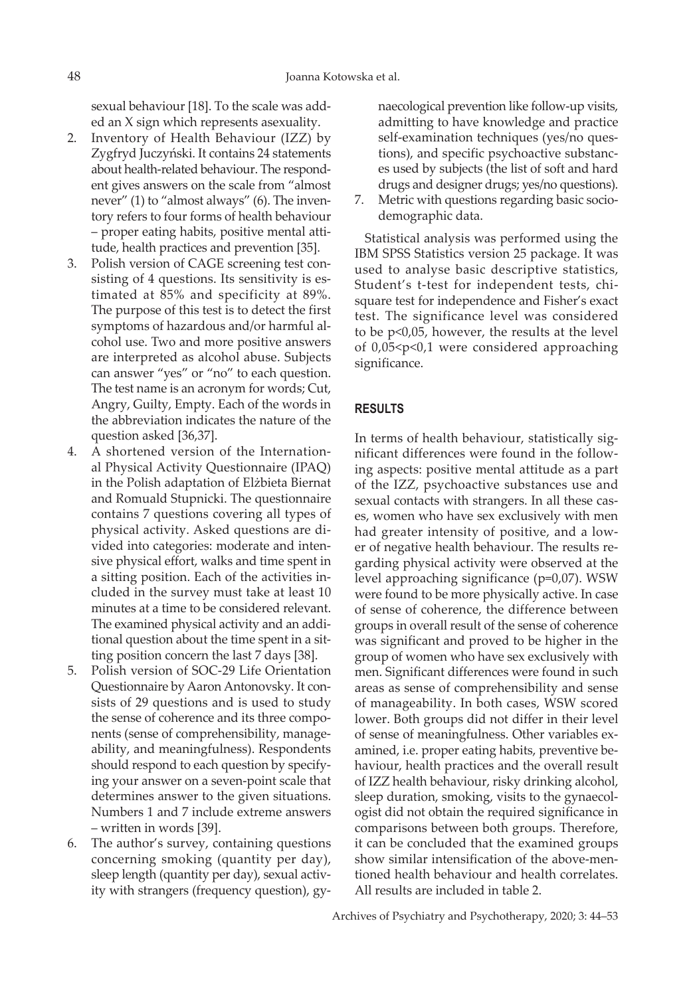sexual behaviour [18]. To the scale was added an X sign which represents asexuality.

- 2. Inventory of Health Behaviour (IZZ) by Zygfryd Juczyński. It contains 24 statements about health-related behaviour. The respondent gives answers on the scale from "almost never" (1) to "almost always" (6). The inventory refers to four forms of health behaviour – proper eating habits, positive mental attitude, health practices and prevention [35].
- 3. Polish version of CAGE screening test consisting of 4 questions. Its sensitivity is estimated at 85% and specificity at 89%. The purpose of this test is to detect the first symptoms of hazardous and/or harmful alcohol use. Two and more positive answers are interpreted as alcohol abuse. Subjects can answer "yes" or "no" to each question. The test name is an acronym for words; Cut, Angry, Guilty, Empty. Each of the words in the abbreviation indicates the nature of the question asked [36,37].
- 4. A shortened version of the International Physical Activity Questionnaire (IPAQ) in the Polish adaptation of Elżbieta Biernat and Romuald Stupnicki. The questionnaire contains 7 questions covering all types of physical activity. Asked questions are divided into categories: moderate and intensive physical effort, walks and time spent in a sitting position. Each of the activities included in the survey must take at least 10 minutes at a time to be considered relevant. The examined physical activity and an additional question about the time spent in a sitting position concern the last 7 days [38].
- 5. Polish version of SOC-29 Life Orientation Questionnaire by Aaron Antonovsky. It consists of 29 questions and is used to study the sense of coherence and its three components (sense of comprehensibility, manageability, and meaningfulness). Respondents should respond to each question by specifying your answer on a seven-point scale that determines answer to the given situations. Numbers 1 and 7 include extreme answers – written in words [39].
- 6. The author's survey, containing questions concerning smoking (quantity per day), sleep length (quantity per day), sexual activity with strangers (frequency question), gy-

naecological prevention like follow-up visits, admitting to have knowledge and practice self-examination techniques (yes/no questions), and specific psychoactive substances used by subjects (the list of soft and hard drugs and designer drugs; yes/no questions).

7. Metric with questions regarding basic sociodemographic data.

Statistical analysis was performed using the IBM SPSS Statistics version 25 package. It was used to analyse basic descriptive statistics, Student's t-test for independent tests, chisquare test for independence and Fisher's exact test. The significance level was considered to be p<0,05, however, the results at the level of 0,05<p<0,1 were considered approaching significance.

### **RESULTS**

In terms of health behaviour, statistically significant differences were found in the following aspects: positive mental attitude as a part of the IZZ, psychoactive substances use and sexual contacts with strangers. In all these cases, women who have sex exclusively with men had greater intensity of positive, and a lower of negative health behaviour. The results regarding physical activity were observed at the level approaching significance (p=0,07). WSW were found to be more physically active. In case of sense of coherence, the difference between groups in overall result of the sense of coherence was significant and proved to be higher in the group of women who have sex exclusively with men. Significant differences were found in such areas as sense of comprehensibility and sense of manageability. In both cases, WSW scored lower. Both groups did not differ in their level of sense of meaningfulness. Other variables examined, i.e. proper eating habits, preventive behaviour, health practices and the overall result of IZZ health behaviour, risky drinking alcohol, sleep duration, smoking, visits to the gynaecologist did not obtain the required significance in comparisons between both groups. Therefore, it can be concluded that the examined groups show similar intensification of the above-mentioned health behaviour and health correlates. All results are included in table 2.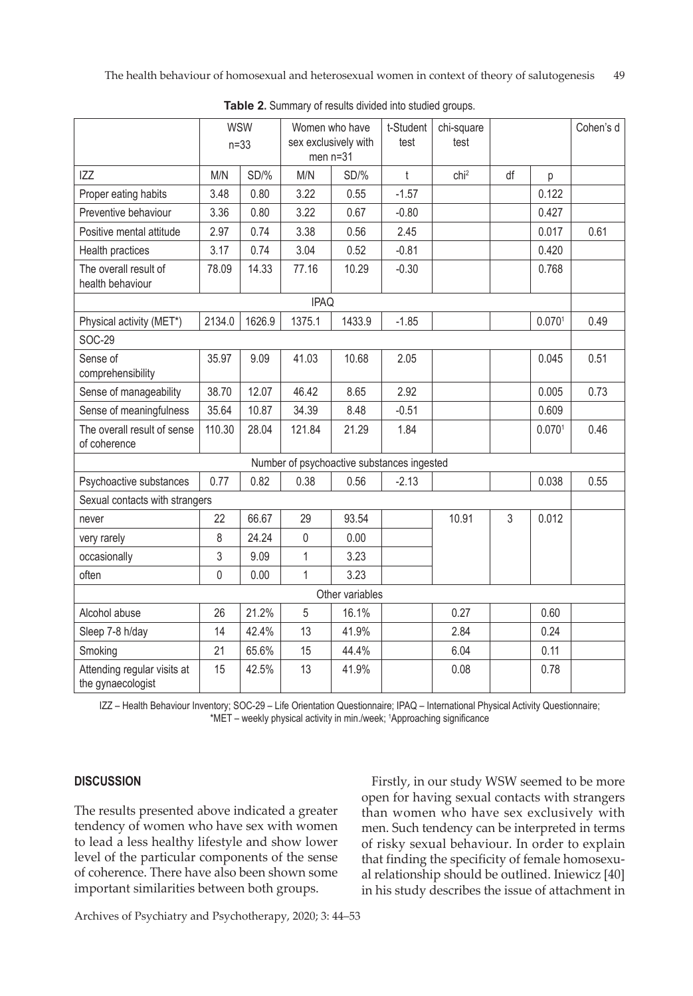|                                                  | <b>WSW</b><br>$n=33$ |        | Women who have<br>sex exclusively with<br>men $n=31$ |        | t-Student<br>test                          | chi-square<br>test |    |                    | Cohen's d |  |  |  |
|--------------------------------------------------|----------------------|--------|------------------------------------------------------|--------|--------------------------------------------|--------------------|----|--------------------|-----------|--|--|--|
| <b>IZZ</b>                                       | M/N                  | SD/%   | M/N                                                  | SD/%   | $\mathfrak{t}$                             | chi <sup>2</sup>   | df | p                  |           |  |  |  |
| Proper eating habits                             | 3.48                 | 0.80   | 3.22                                                 | 0.55   | $-1.57$                                    |                    |    | 0.122              |           |  |  |  |
| Preventive behaviour                             | 3.36                 | 0.80   | 3.22                                                 | 0.67   | $-0.80$                                    |                    |    | 0.427              |           |  |  |  |
| Positive mental attitude                         | 2.97                 | 0.74   | 3.38                                                 | 0.56   | 2.45                                       |                    |    | 0.017              | 0.61      |  |  |  |
| Health practices                                 | 3.17                 | 0.74   | 3.04                                                 | 0.52   | $-0.81$                                    |                    |    | 0.420              |           |  |  |  |
| The overall result of<br>health behaviour        | 78.09                | 14.33  | 77.16                                                | 10.29  | $-0.30$                                    |                    |    | 0.768              |           |  |  |  |
| <b>IPAQ</b>                                      |                      |        |                                                      |        |                                            |                    |    |                    |           |  |  |  |
| Physical activity (MET*)                         | 2134.0               | 1626.9 | 1375.1                                               | 1433.9 | $-1.85$                                    |                    |    | 0.070 <sup>1</sup> | 0.49      |  |  |  |
| <b>SOC-29</b>                                    |                      |        |                                                      |        |                                            |                    |    |                    |           |  |  |  |
| Sense of<br>comprehensibility                    | 35.97                | 9.09   | 41.03                                                | 10.68  | 2.05                                       |                    |    | 0.045              | 0.51      |  |  |  |
| Sense of manageability                           | 38.70                | 12.07  | 46.42                                                | 8.65   | 2.92                                       |                    |    | 0.005              | 0.73      |  |  |  |
| Sense of meaningfulness                          | 35.64                | 10.87  | 34.39                                                | 8.48   | $-0.51$                                    |                    |    | 0.609              |           |  |  |  |
| The overall result of sense<br>of coherence      | 110.30               | 28.04  | 121.84                                               | 21.29  | 1.84                                       |                    |    | 0.070 <sup>1</sup> | 0.46      |  |  |  |
|                                                  |                      |        |                                                      |        | Number of psychoactive substances ingested |                    |    |                    |           |  |  |  |
| Psychoactive substances                          | 0.77                 | 0.82   | 0.38                                                 | 0.56   | $-2.13$                                    |                    |    | 0.038              | 0.55      |  |  |  |
| Sexual contacts with strangers                   |                      |        |                                                      |        |                                            |                    |    |                    |           |  |  |  |
| never                                            | 22                   | 66.67  | 29                                                   | 93.54  |                                            | 10.91              | 3  | 0.012              |           |  |  |  |
| very rarely                                      | 8                    | 24.24  | $\mathbf 0$                                          | 0.00   |                                            |                    |    |                    |           |  |  |  |
| occasionally                                     | 3                    | 9.09   | 1                                                    | 3.23   |                                            |                    |    |                    |           |  |  |  |
| often                                            | $\mathbf 0$          | 0.00   | $\mathbf{1}$                                         | 3.23   |                                            |                    |    |                    |           |  |  |  |
| Other variables                                  |                      |        |                                                      |        |                                            |                    |    |                    |           |  |  |  |
| Alcohol abuse                                    | 26                   | 21.2%  | 5                                                    | 16.1%  |                                            | 0.27               |    | 0.60               |           |  |  |  |
| Sleep 7-8 h/day                                  | 14                   | 42.4%  | 13                                                   | 41.9%  |                                            | 2.84               |    | 0.24               |           |  |  |  |
| Smoking                                          | 21                   | 65.6%  | 15                                                   | 44.4%  |                                            | 6.04               |    | 0.11               |           |  |  |  |
| Attending regular visits at<br>the gynaecologist | 15                   | 42.5%  | 13                                                   | 41.9%  |                                            | 0.08               |    | 0.78               |           |  |  |  |

**Table 2.** Summary of results divided into studied groups.

IZZ – Health Behaviour Inventory; SOC-29 – Life Orientation Questionnaire; IPAQ – International Physical Activity Questionnaire; \*MET – weekly physical activity in min./week; 1 Approaching significance

## **DISCUSSION**

The results presented above indicated a greater tendency of women who have sex with women to lead a less healthy lifestyle and show lower level of the particular components of the sense of coherence. There have also been shown some important similarities between both groups.

Firstly, in our study WSW seemed to be more open for having sexual contacts with strangers than women who have sex exclusively with men. Such tendency can be interpreted in terms of risky sexual behaviour. In order to explain that finding the specificity of female homosexual relationship should be outlined. Iniewicz [40] in his study describes the issue of attachment in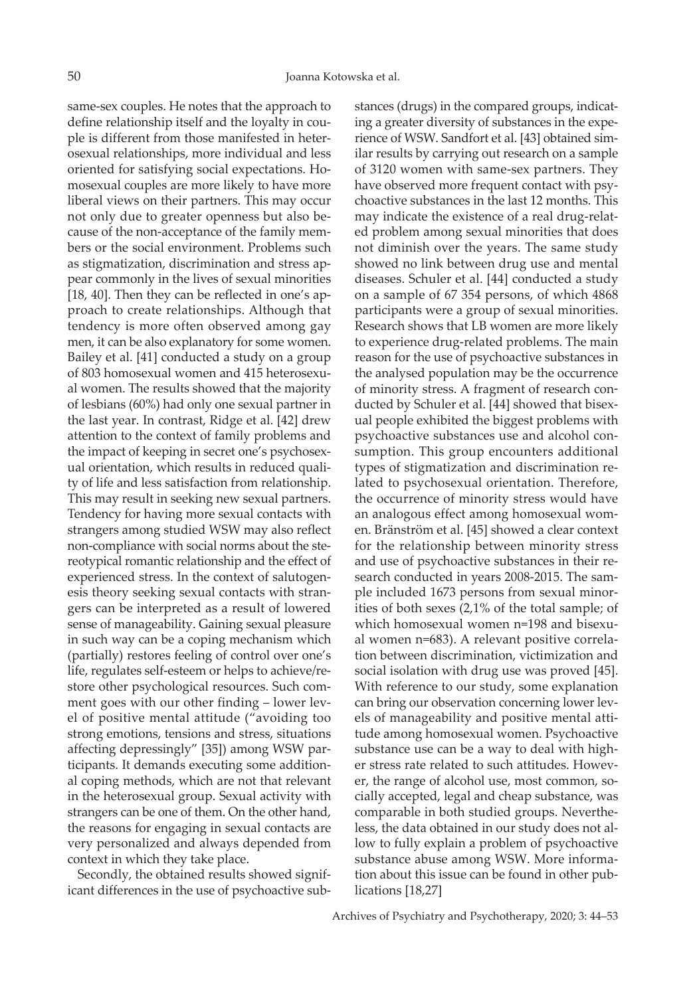same-sex couples. He notes that the approach to define relationship itself and the loyalty in couple is different from those manifested in heterosexual relationships, more individual and less oriented for satisfying social expectations. Homosexual couples are more likely to have more liberal views on their partners. This may occur not only due to greater openness but also because of the non-acceptance of the family members or the social environment. Problems such as stigmatization, discrimination and stress appear commonly in the lives of sexual minorities [18, 40]. Then they can be reflected in one's approach to create relationships. Although that tendency is more often observed among gay men, it can be also explanatory for some women. Bailey et al. [41] conducted a study on a group of 803 homosexual women and 415 heterosexual women. The results showed that the majority of lesbians (60%) had only one sexual partner in the last year. In contrast, Ridge et al. [42] drew attention to the context of family problems and the impact of keeping in secret one's psychosexual orientation, which results in reduced quality of life and less satisfaction from relationship. This may result in seeking new sexual partners. Tendency for having more sexual contacts with strangers among studied WSW may also reflect non-compliance with social norms about the stereotypical romantic relationship and the effect of experienced stress. In the context of salutogenesis theory seeking sexual contacts with strangers can be interpreted as a result of lowered sense of manageability. Gaining sexual pleasure in such way can be a coping mechanism which (partially) restores feeling of control over one's life, regulates self-esteem or helps to achieve/restore other psychological resources. Such comment goes with our other finding – lower level of positive mental attitude ("avoiding too strong emotions, tensions and stress, situations affecting depressingly" [35]) among WSW participants. It demands executing some additional coping methods, which are not that relevant in the heterosexual group. Sexual activity with strangers can be one of them. On the other hand, the reasons for engaging in sexual contacts are very personalized and always depended from context in which they take place.

Secondly, the obtained results showed significant differences in the use of psychoactive substances (drugs) in the compared groups, indicating a greater diversity of substances in the experience of WSW. Sandfort et al. [43] obtained similar results by carrying out research on a sample of 3120 women with same-sex partners. They have observed more frequent contact with psychoactive substances in the last 12 months. This may indicate the existence of a real drug-related problem among sexual minorities that does not diminish over the years. The same study showed no link between drug use and mental diseases. Schuler et al. [44] conducted a study on a sample of 67 354 persons, of which 4868 participants were a group of sexual minorities. Research shows that LB women are more likely to experience drug-related problems. The main reason for the use of psychoactive substances in the analysed population may be the occurrence of minority stress. A fragment of research conducted by Schuler et al. [44] showed that bisexual people exhibited the biggest problems with psychoactive substances use and alcohol consumption. This group encounters additional types of stigmatization and discrimination related to psychosexual orientation. Therefore, the occurrence of minority stress would have an analogous effect among homosexual women. Bränström et al. [45] showed a clear context for the relationship between minority stress and use of psychoactive substances in their research conducted in years 2008-2015. The sample included 1673 persons from sexual minorities of both sexes (2,1% of the total sample; of which homosexual women n=198 and bisexual women n=683). A relevant positive correlation between discrimination, victimization and social isolation with drug use was proved [45]. With reference to our study, some explanation can bring our observation concerning lower levels of manageability and positive mental attitude among homosexual women. Psychoactive substance use can be a way to deal with higher stress rate related to such attitudes. However, the range of alcohol use, most common, socially accepted, legal and cheap substance, was comparable in both studied groups. Nevertheless, the data obtained in our study does not allow to fully explain a problem of psychoactive substance abuse among WSW. More information about this issue can be found in other publications [18,27]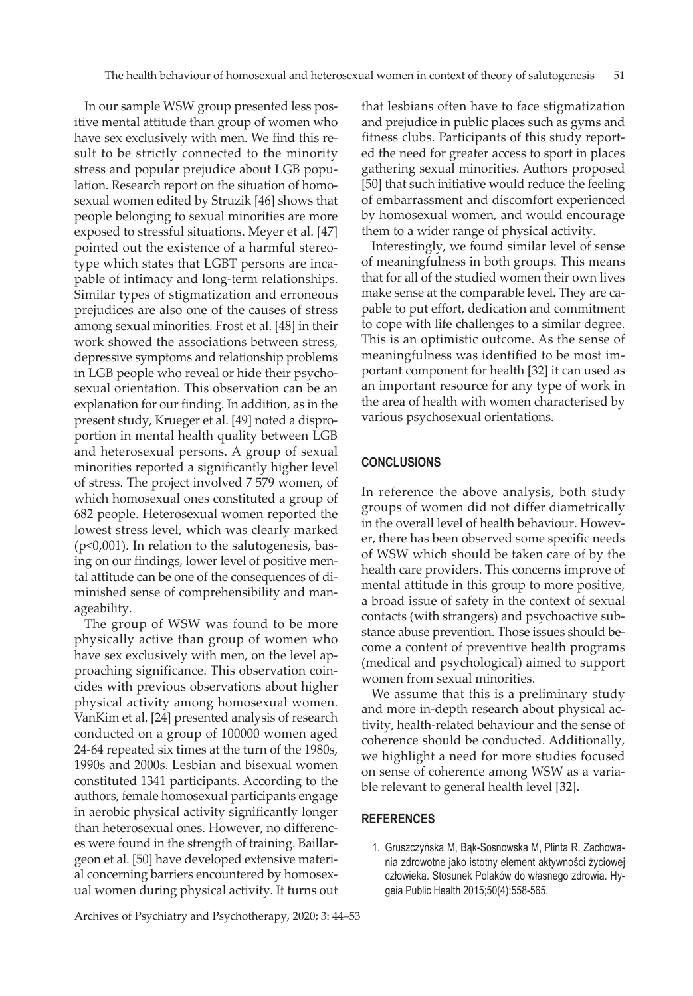In our sample WSW group presented less positive mental attitude than group of women who have sex exclusively with men. We find this result to be strictly connected to the minority stress and popular prejudice about LGB population. Research report on the situation of homosexual women edited by Struzik [46] shows that people belonging to sexual minorities are more exposed to stressful situations. Meyer et al. [47] pointed out the existence of a harmful stereotype which states that LGBT persons are incapable of intimacy and long-term relationships. Similar types of stigmatization and erroneous prejudices are also one of the causes of stress among sexual minorities. Frost et al. [48] in their work showed the associations between stress, depressive symptoms and relationship problems in LGB people who reveal or hide their psychosexual orientation. This observation can be an explanation for our finding. In addition, as in the present study, Krueger et al. [49] noted a disproportion in mental health quality between LGB and heterosexual persons. A group of sexual minorities reported a significantly higher level of stress. The project involved 7 579 women, of which homosexual ones constituted a group of 682 people. Heterosexual women reported the lowest stress level, which was clearly marked (p<0,001). In relation to the salutogenesis, basing on our findings, lower level of positive mental attitude can be one of the consequences of diminished sense of comprehensibility and manageability.

The group of WSW was found to be more physically active than group of women who have sex exclusively with men, on the level approaching significance. This observation coincides with previous observations about higher physical activity among homosexual women. VanKim et al. [24] presented analysis of research conducted on a group of 100000 women aged 24-64 repeated six times at the turn of the 1980s, 1990s and 2000s. Lesbian and bisexual women constituted 1341 participants. According to the authors, female homosexual participants engage in aerobic physical activity significantly longer than heterosexual ones. However, no differences were found in the strength of training. Baillargeon et al. [50] have developed extensive material concerning barriers encountered by homosexual women during physical activity. It turns out

Archives of Psychiatry and Psychotherapy, 2020; 3: 44–53

that lesbians often have to face stigmatization and prejudice in public places such as gyms and fitness clubs. Participants of this study reported the need for greater access to sport in places gathering sexual minorities. Authors proposed [50] that such initiative would reduce the feeling of embarrassment and discomfort experienced by homosexual women, and would encourage them to a wider range of physical activity.

Interestingly, we found similar level of sense of meaningfulness in both groups. This means that for all of the studied women their own lives make sense at the comparable level. They are capable to put effort, dedication and commitment to cope with life challenges to a similar degree. This is an optimistic outcome. As the sense of meaningfulness was identified to be most important component for health [32] it can used as an important resource for any type of work in the area of health with women characterised by various psychosexual orientations.

#### **CONCLUSIONS**

In reference the above analysis, both study groups of women did not differ diametrically in the overall level of health behaviour. However, there has been observed some specific needs of WSW which should be taken care of by the health care providers. This concerns improve of mental attitude in this group to more positive, a broad issue of safety in the context of sexual contacts (with strangers) and psychoactive substance abuse prevention. Those issues should become a content of preventive health programs (medical and psychological) aimed to support women from sexual minorities.

We assume that this is a preliminary study and more in-depth research about physical activity, health-related behaviour and the sense of coherence should be conducted. Additionally, we highlight a need for more studies focused on sense of coherence among WSW as a variable relevant to general health level [32].

#### **REFERENCES**

1. Gruszczyńska M, Bąk-Sosnowska M, Plinta R. Zachowania zdrowotne jako istotny element aktywności życiowej człowieka. Stosunek Polaków do własnego zdrowia. Hygeia Public Health 2015;50(4):558-565.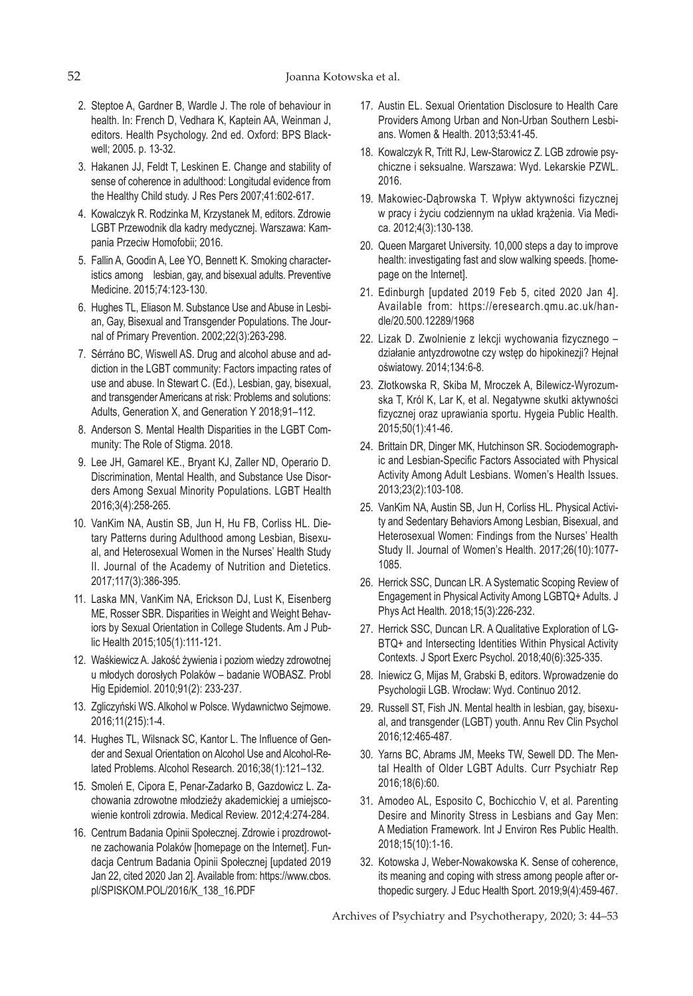- 2. Steptoe A, Gardner B, Wardle J. The role of behaviour in health. In: French D, Vedhara K, Kaptein AA, Weinman J, editors. Health Psychology. 2nd ed. Oxford: BPS Blackwell; 2005. p. 13-32.
- 3. Hakanen JJ, Feldt T, Leskinen E. Change and stability of sense of coherence in adulthood: Longitudal evidence from the Healthy Child study. J Res Pers 2007;41:602-617.
- 4. Kowalczyk R. Rodzinka M, Krzystanek M, editors. Zdrowie LGBT Przewodnik dla kadry medycznej. Warszawa: Kampania Przeciw Homofobii; 2016.
- 5. Fallin A, Goodin A, Lee YO, Bennett K. Smoking characteristics among lesbian, gay, and bisexual adults. Preventive Medicine. 2015;74:123-130.
- 6. Hughes TL, Eliason M. Substance Use and Abuse in Lesbian, Gay, Bisexual and Transgender Populations. The Journal of Primary Prevention. 2002;22(3):263-298.
- 7. Sérráno BC, Wiswell AS. Drug and alcohol abuse and addiction in the LGBT community: Factors impacting rates of use and abuse. In Stewart C. (Ed.), Lesbian, gay, bisexual, and transgender Americans at risk: Problems and solutions: Adults, Generation X, and Generation Y 2018;91–112.
- 8. Anderson S. Mental Health Disparities in the LGBT Community: The Role of Stigma. 2018.
- 9. Lee JH, Gamarel KE., Bryant KJ, Zaller ND, Operario D. Discrimination, Mental Health, and Substance Use Disorders Among Sexual Minority Populations. LGBT Health 2016;3(4):258-265.
- 10. VanKim NA, Austin SB, Jun H, Hu FB, Corliss HL. Dietary Patterns during Adulthood among Lesbian, Bisexual, and Heterosexual Women in the Nurses' Health Study II. Journal of the Academy of Nutrition and Dietetics. 2017;117(3):386-395.
- 11. Laska MN, VanKim NA, Erickson DJ, Lust K, Eisenberg ME, Rosser SBR. Disparities in Weight and Weight Behaviors by Sexual Orientation in College Students. Am J Public Health 2015;105(1):111-121.
- 12. Waśkiewicz A. Jakość żywienia i poziom wiedzy zdrowotnej u młodych dorosłych Polaków – badanie WOBASZ. Probl Hig Epidemiol. 2010;91(2): 233-237.
- 13. Zgliczyński WS. Alkohol w Polsce. Wydawnictwo Sejmowe. 2016;11(215):1-4.
- 14. Hughes TL, Wilsnack SC, Kantor L. The Influence of Gender and Sexual Orientation on Alcohol Use and Alcohol-Related Problems. Alcohol Research. 2016;38(1):121–132.
- 15. Smoleń E, Cipora E, Penar-Zadarko B, Gazdowicz L. Zachowania zdrowotne młodzieży akademickiej a umiejscowienie kontroli zdrowia. Medical Review. 2012;4:274-284.
- 16. Centrum Badania Opinii Społecznej. Zdrowie i prozdrowotne zachowania Polaków [homepage on the Internet]. Fundacja Centrum Badania Opinii Społecznej [updated 2019 Jan 22, cited 2020 Jan 2]. Available from: https://www.cbos. pl/SPISKOM.POL/2016/K\_138\_16.PDF
- 17. Austin EL. Sexual Orientation Disclosure to Health Care Providers Among Urban and Non-Urban Southern Lesbians. Women & Health. 2013;53:41-45.
- 18. Kowalczyk R, Tritt RJ, Lew-Starowicz Z. LGB zdrowie psychiczne i seksualne. Warszawa: Wyd. Lekarskie PZWL. 2016.
- 19. Makowiec-Dąbrowska T. Wpływ aktywności fizycznej w pracy i życiu codziennym na układ krążenia. Via Medica. 2012;4(3):130-138.
- 20. Queen Margaret University. 10,000 steps a day to improve health: investigating fast and slow walking speeds. [homepage on the Internet].
- 21. Edinburgh [updated 2019 Feb 5, cited 2020 Jan 4]. Available from: https://eresearch.qmu.ac.uk/handle/20.500.12289/1968
- 22. Lizak D. Zwolnienie z lekcji wychowania fizycznego działanie antyzdrowotne czy wstęp do hipokinezji? Hejnał oświatowy. 2014;134:6-8.
- 23. Złotkowska R, Skiba M, Mroczek A, Bilewicz-Wyrozumska T, Król K, Lar K, et al. Negatywne skutki aktywności fizycznej oraz uprawiania sportu. Hygeia Public Health. 2015;50(1):41-46.
- 24. Brittain DR, Dinger MK, Hutchinson SR. Sociodemographic and Lesbian-Specific Factors Associated with Physical Activity Among Adult Lesbians. Women's Health Issues. 2013;23(2):103-108.
- 25. VanKim NA, Austin SB, Jun H, Corliss HL. Physical Activity and Sedentary Behaviors Among Lesbian, Bisexual, and Heterosexual Women: Findings from the Nurses' Health Study II. Journal of Women's Health. 2017;26(10):1077- 1085.
- 26. Herrick SSC, Duncan LR. A Systematic Scoping Review of Engagement in Physical Activity Among LGBTQ+ Adults. J Phys Act Health. 2018;15(3):226-232.
- 27. Herrick SSC, Duncan LR. A Qualitative Exploration of LG-BTQ+ and Intersecting Identities Within Physical Activity Contexts. J Sport Exerc Psychol. 2018;40(6):325-335.
- 28. Iniewicz G, Mijas M, Grabski B, editors. Wprowadzenie do Psychologii LGB. Wrocław: Wyd. Continuo 2012.
- 29. Russell ST, Fish JN. Mental health in lesbian, gay, bisexual, and transgender (LGBT) youth. Annu Rev Clin Psychol 2016;12:465-487.
- 30. Yarns BC, Abrams JM, Meeks TW, Sewell DD. The Mental Health of Older LGBT Adults. Curr Psychiatr Rep 2016;18(6):60.
- 31. Amodeo AL, Esposito C, Bochicchio V, et al. Parenting Desire and Minority Stress in Lesbians and Gay Men: A Mediation Framework. Int J Environ Res Public Health. 2018;15(10):1-16.
- 32. Kotowska J, Weber-Nowakowska K. Sense of coherence, its meaning and coping with stress among people after orthopedic surgery. J Educ Health Sport. 2019;9(4):459-467.